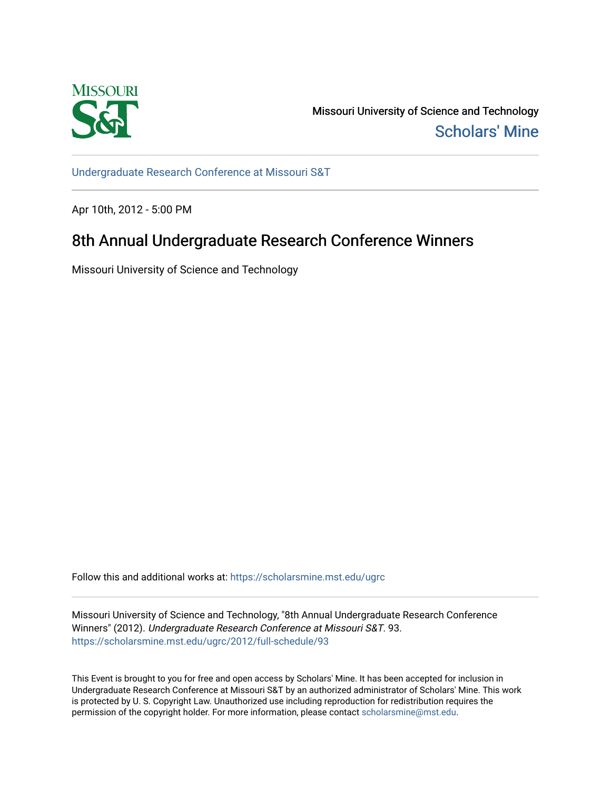

Missouri University of Science and Technology [Scholars' Mine](https://scholarsmine.mst.edu/) 

[Undergraduate Research Conference at Missouri S&T](https://scholarsmine.mst.edu/ugrc)

Apr 10th, 2012 - 5:00 PM

# 8th Annual Undergraduate Research Conference Winners

Missouri University of Science and Technology

Follow this and additional works at: [https://scholarsmine.mst.edu/ugrc](https://scholarsmine.mst.edu/ugrc?utm_source=scholarsmine.mst.edu%2Fugrc%2F2012%2Ffull-schedule%2F93&utm_medium=PDF&utm_campaign=PDFCoverPages) 

Missouri University of Science and Technology, "8th Annual Undergraduate Research Conference Winners" (2012). Undergraduate Research Conference at Missouri S&T. 93. [https://scholarsmine.mst.edu/ugrc/2012/full-schedule/93](https://scholarsmine.mst.edu/ugrc/2012/full-schedule/93?utm_source=scholarsmine.mst.edu%2Fugrc%2F2012%2Ffull-schedule%2F93&utm_medium=PDF&utm_campaign=PDFCoverPages) 

This Event is brought to you for free and open access by Scholars' Mine. It has been accepted for inclusion in Undergraduate Research Conference at Missouri S&T by an authorized administrator of Scholars' Mine. This work is protected by U. S. Copyright Law. Unauthorized use including reproduction for redistribution requires the permission of the copyright holder. For more information, please contact [scholarsmine@mst.edu](mailto:scholarsmine@mst.edu).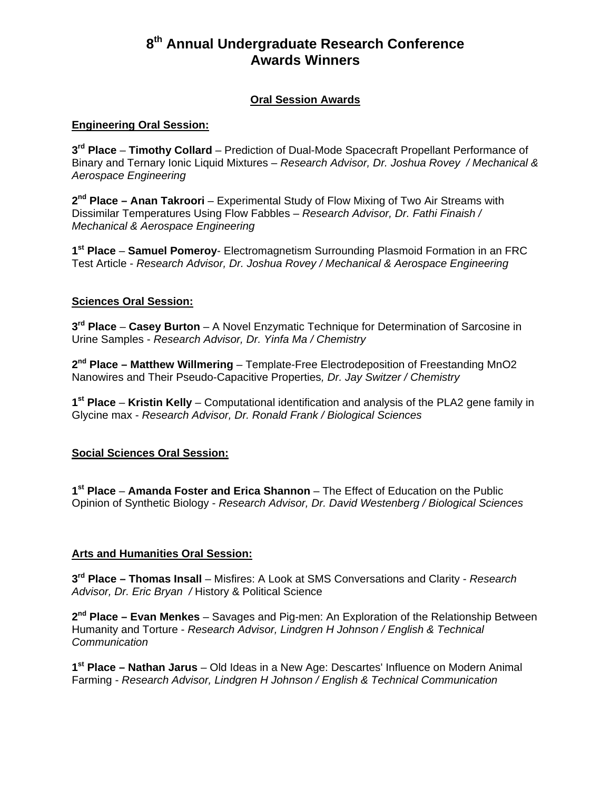# **8th Annual Undergraduate Research Conference Awards Winners**

# **Oral Session Awards**

#### **Engineering Oral Session:**

**3rd Place** – **Timothy Collard** – Prediction of Dual-Mode Spacecraft Propellant Performance of Binary and Ternary Ionic Liquid Mixtures – *Research Advisor, Dr. Joshua Rovey / Mechanical & Aerospace Engineering* 

**2nd Place – Anan Takroori** – Experimental Study of Flow Mixing of Two Air Streams with Dissimilar Temperatures Using Flow Fabbles – *Research Advisor, Dr. Fathi Finaish / Mechanical & Aerospace Engineering* 

**1st Place** – **Samuel Pomeroy**- Electromagnetism Surrounding Plasmoid Formation in an FRC Test Article - *Research Advisor, Dr. Joshua Rovey / Mechanical & Aerospace Engineering* 

#### **Sciences Oral Session:**

**3rd Place** – **Casey Burton** – A Novel Enzymatic Technique for Determination of Sarcosine in Urine Samples - *Research Advisor, Dr. Yinfa Ma / Chemistry* 

**2nd Place – Matthew Willmering** – Template-Free Electrodeposition of Freestanding MnO2 Nanowires and Their Pseudo-Capacitive Properties*, Dr. Jay Switzer / Chemistry* 

**1st Place** – **Kristin Kelly** – Computational identification and analysis of the PLA2 gene family in Glycine max - *Research Advisor, Dr. Ronald Frank / Biological Sciences* 

#### **Social Sciences Oral Session:**

**1st Place** – **Amanda Foster and Erica Shannon** – The Effect of Education on the Public Opinion of Synthetic Biology - *Research Advisor, Dr. David Westenberg / Biological Sciences*

#### **Arts and Humanities Oral Session:**

**3rd Place – Thomas Insall** – Misfires: A Look at SMS Conversations and Clarity - *Research Advisor, Dr. Eric Bryan /* History & Political Science

**2nd Place – Evan Menkes** – Savages and Pig-men: An Exploration of the Relationship Between Humanity and Torture - *Research Advisor, Lindgren H Johnson / English & Technical Communication* 

**1st Place – Nathan Jarus** – Old Ideas in a New Age: Descartes' Influence on Modern Animal Farming - *Research Advisor, Lindgren H Johnson / English & Technical Communication*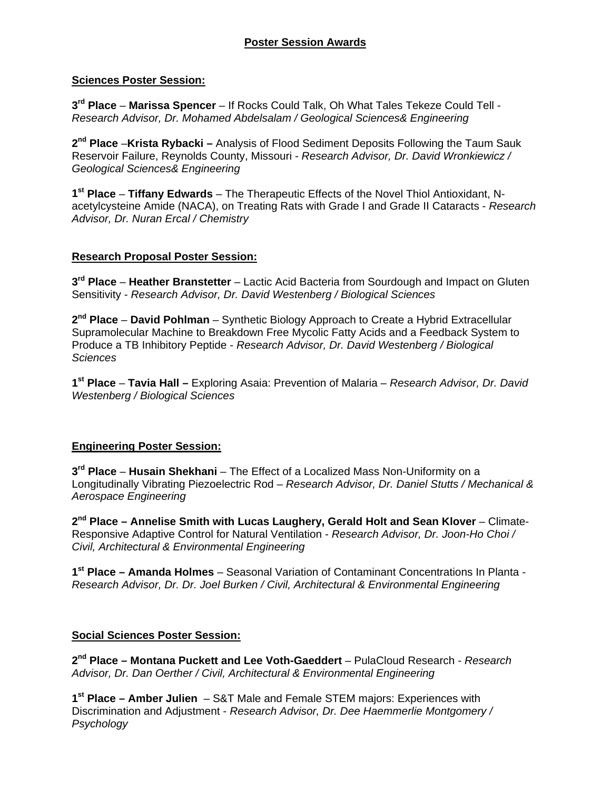## **Sciences Poster Session:**

**3rd Place** – **Marissa Spencer** – If Rocks Could Talk, Oh What Tales Tekeze Could Tell - *Research Advisor, Dr. Mohamed Abdelsalam / Geological Sciences& Engineering*

**2nd Place** –**Krista Rybacki –** Analysis of Flood Sediment Deposits Following the Taum Sauk Reservoir Failure, Reynolds County, Missouri - *Research Advisor, Dr. David Wronkiewicz / Geological Sciences& Engineering*

**1st Place** – **Tiffany Edwards** – The Therapeutic Effects of the Novel Thiol Antioxidant, Nacetylcysteine Amide (NACA), on Treating Rats with Grade I and Grade II Cataracts - *Research Advisor, Dr. Nuran Ercal / Chemistry*

#### **Research Proposal Poster Session:**

**3rd Place** – **Heather Branstetter** – Lactic Acid Bacteria from Sourdough and Impact on Gluten Sensitivity - *Research Advisor, Dr. David Westenberg / Biological Sciences* 

**2nd Place** – **David Pohlman** – Synthetic Biology Approach to Create a Hybrid Extracellular Supramolecular Machine to Breakdown Free Mycolic Fatty Acids and a Feedback System to Produce a TB Inhibitory Peptide - *Research Advisor, Dr. David Westenberg / Biological Sciences*

**1st Place** – **Tavia Hall –** Exploring Asaia: Prevention of Malaria – *Research Advisor, Dr. David Westenberg / Biological Sciences* 

# **Engineering Poster Session:**

**3rd Place** – **Husain Shekhani** – The Effect of a Localized Mass Non-Uniformity on a Longitudinally Vibrating Piezoelectric Rod – *Research Advisor, Dr. Daniel Stutts / Mechanical & Aerospace Engineering* 

**2nd Place – Annelise Smith with Lucas Laughery, Gerald Holt and Sean Klover** – Climate-Responsive Adaptive Control for Natural Ventilation - *Research Advisor, Dr. Joon-Ho Choi / Civil, Architectural & Environmental Engineering* 

**1st Place – Amanda Holmes** – Seasonal Variation of Contaminant Concentrations In Planta - *Research Advisor, Dr. Dr. Joel Burken / Civil, Architectural & Environmental Engineering* 

#### **Social Sciences Poster Session:**

**2nd Place – Montana Puckett and Lee Voth-Gaeddert** – PulaCloud Research - *Research Advisor, Dr. Dan Oerther / Civil, Architectural & Environmental Engineering* 

**1st Place – Amber Julien** – S&T Male and Female STEM majors: Experiences with Discrimination and Adjustment - *Research Advisor, Dr. Dee Haemmerlie Montgomery / Psychology*